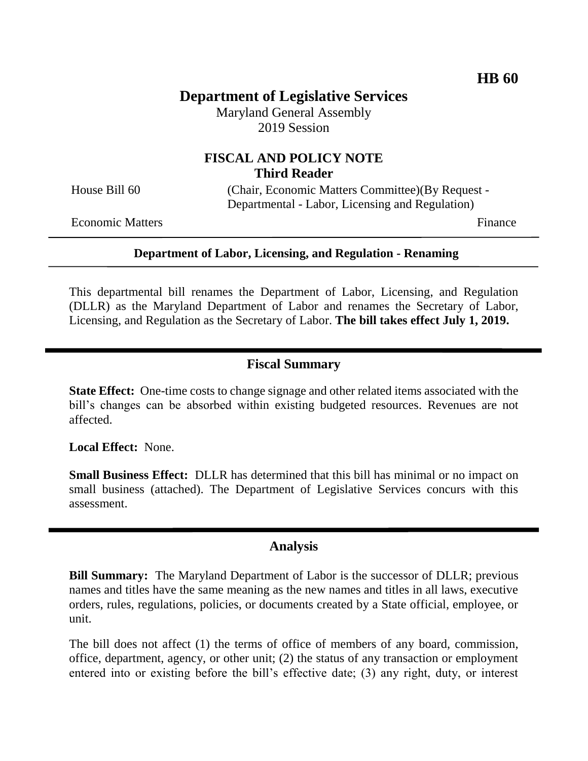# **Department of Legislative Services**

Maryland General Assembly 2019 Session

# **FISCAL AND POLICY NOTE Third Reader**

House Bill 60 (Chair, Economic Matters Committee)(By Request -Departmental - Labor, Licensing and Regulation)

Economic Matters **Finance** 

#### **Department of Labor, Licensing, and Regulation - Renaming**

This departmental bill renames the Department of Labor, Licensing, and Regulation (DLLR) as the Maryland Department of Labor and renames the Secretary of Labor, Licensing, and Regulation as the Secretary of Labor. **The bill takes effect July 1, 2019.**

#### **Fiscal Summary**

**State Effect:** One-time costs to change signage and other related items associated with the bill's changes can be absorbed within existing budgeted resources. Revenues are not affected.

**Local Effect:** None.

**Small Business Effect:** DLLR has determined that this bill has minimal or no impact on small business (attached). The Department of Legislative Services concurs with this assessment.

#### **Analysis**

**Bill Summary:** The Maryland Department of Labor is the successor of DLLR; previous names and titles have the same meaning as the new names and titles in all laws, executive orders, rules, regulations, policies, or documents created by a State official, employee, or unit.

The bill does not affect (1) the terms of office of members of any board, commission, office, department, agency, or other unit; (2) the status of any transaction or employment entered into or existing before the bill's effective date; (3) any right, duty, or interest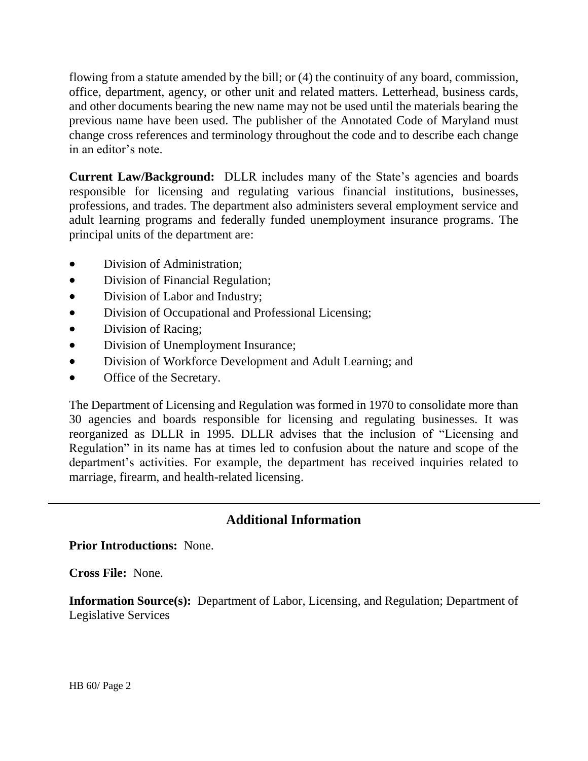flowing from a statute amended by the bill; or (4) the continuity of any board, commission, office, department, agency, or other unit and related matters. Letterhead, business cards, and other documents bearing the new name may not be used until the materials bearing the previous name have been used. The publisher of the Annotated Code of Maryland must change cross references and terminology throughout the code and to describe each change in an editor's note.

**Current Law/Background:** DLLR includes many of the State's agencies and boards responsible for licensing and regulating various financial institutions, businesses, professions, and trades. The department also administers several employment service and adult learning programs and federally funded unemployment insurance programs. The principal units of the department are:

- Division of Administration;
- Division of Financial Regulation;
- Division of Labor and Industry;
- Division of Occupational and Professional Licensing;
- Division of Racing;
- Division of Unemployment Insurance;
- Division of Workforce Development and Adult Learning; and
- Office of the Secretary.

The Department of Licensing and Regulation was formed in 1970 to consolidate more than 30 agencies and boards responsible for licensing and regulating businesses. It was reorganized as DLLR in 1995. DLLR advises that the inclusion of "Licensing and Regulation" in its name has at times led to confusion about the nature and scope of the department's activities. For example, the department has received inquiries related to marriage, firearm, and health-related licensing.

# **Additional Information**

#### **Prior Introductions:** None.

**Cross File:** None.

**Information Source(s):** Department of Labor, Licensing, and Regulation; Department of Legislative Services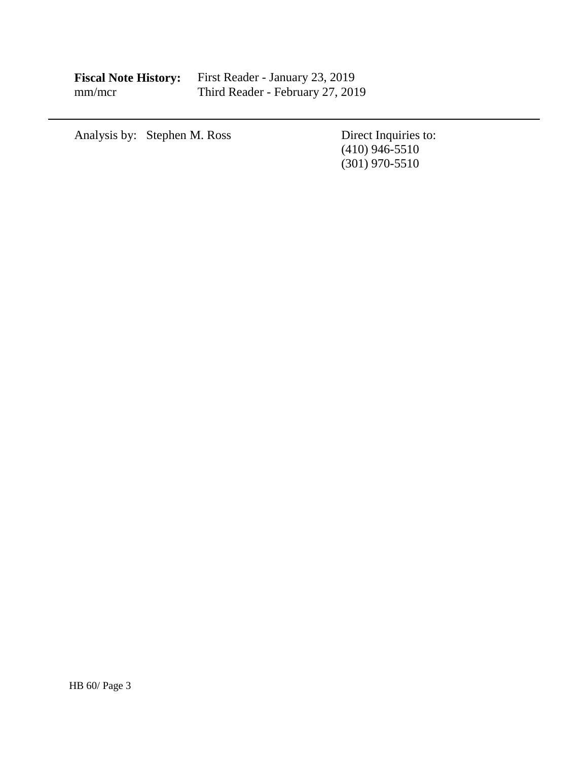| <b>Fiscal Note History:</b> | First Reader - January 23, 2019  |
|-----------------------------|----------------------------------|
| mm/mcr                      | Third Reader - February 27, 2019 |

Analysis by: Stephen M. Ross

Direct Inquiries to:<br>(410) 946-5510 (301) 970-5510